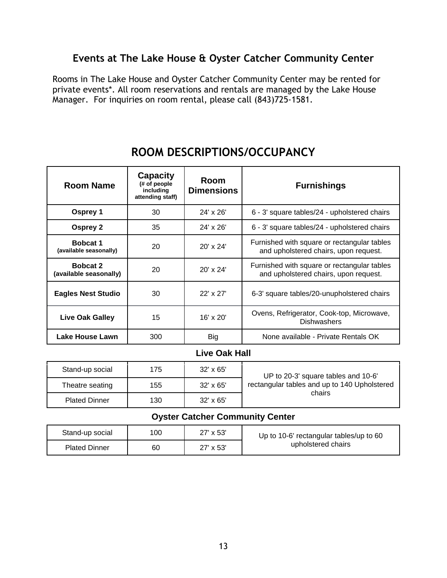## Events at The Lake House & Oyster Catcher Community Center

Rooms in The Lake House and Oyster Catcher Community Center may be rented for private events\*. All room reservations and rentals are managed by the Lake House Manager. For inquiries on room rental, please call (843)725-1581.

| <b>Room Name</b>                          | <b>Capacity</b><br>(# of people<br>including<br>attending staff) | Room<br><b>Dimensions</b> | <b>Furnishings</b>                                                                   |  |
|-------------------------------------------|------------------------------------------------------------------|---------------------------|--------------------------------------------------------------------------------------|--|
| Osprey 1                                  | 30                                                               | 24' x 26'                 | 6 - 3' square tables/24 - upholstered chairs                                         |  |
| <b>Osprey 2</b>                           | 35                                                               | $24' \times 26'$          | 6 - 3' square tables/24 - upholstered chairs                                         |  |
| <b>Bobcat 1</b><br>(available seasonally) | 20                                                               | 20' x 24'                 | Furnished with square or rectangular tables<br>and upholstered chairs, upon request. |  |
| <b>Bobcat 2</b><br>(available seasonally) | 20                                                               | 20' x 24'                 | Furnished with square or rectangular tables<br>and upholstered chairs, upon request. |  |
| <b>Eagles Nest Studio</b>                 | 30                                                               | 22' x 27'                 | 6-3' square tables/20-unupholstered chairs                                           |  |
| <b>Live Oak Galley</b>                    | 15                                                               | $16' \times 20'$          | Ovens, Refrigerator, Cook-top, Microwave,<br><b>Dishwashers</b>                      |  |
| Lake House Lawn                           | 300                                                              | Big                       | None available - Private Rentals OK                                                  |  |
| <b>Live Oak Hall</b>                      |                                                                  |                           |                                                                                      |  |
| Stand-up social                           | 175                                                              | 32' x 65'                 | UP to 20-3' square tables and 10-6'                                                  |  |

# ROOM DESCRIPTIONS/OCCUPANCY

| Stand-up social      | 175 | $32' \times 65'$ | UP to 20-3' square tables and 10-6'<br>rectangular tables and up to 140 Upholstered<br>chairs |
|----------------------|-----|------------------|-----------------------------------------------------------------------------------------------|
| Theatre seating      | 155 | $32' \times 65'$ |                                                                                               |
| <b>Plated Dinner</b> | 130 | $32' \times 65'$ |                                                                                               |

#### **Oyster Catcher Community Center**

| Stand-up social      | 100 | 27' x 53'        | Up to 10-6' rectangular tables/up to 60<br>upholstered chairs |
|----------------------|-----|------------------|---------------------------------------------------------------|
| <b>Plated Dinner</b> | 60  | $27' \times 53'$ |                                                               |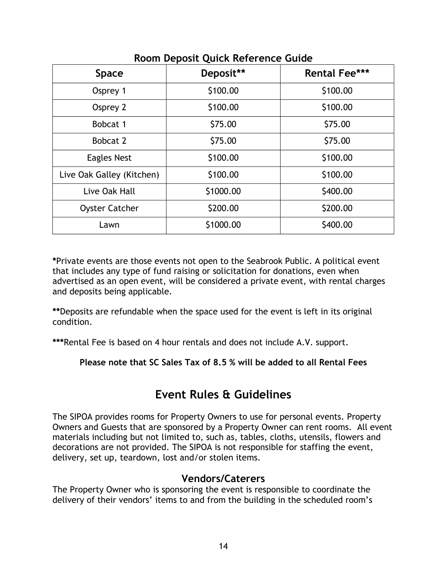| <b>Space</b>              | Deposit** | <b>Rental Fee***</b> |
|---------------------------|-----------|----------------------|
| Osprey 1                  | \$100.00  | \$100.00             |
| Osprey 2                  | \$100.00  | \$100.00             |
| Bobcat 1                  | \$75.00   | \$75.00              |
| Bobcat 2                  | \$75.00   | \$75.00              |
| <b>Eagles Nest</b>        | \$100.00  | \$100.00             |
| Live Oak Galley (Kitchen) | \$100.00  | \$100.00             |
| Live Oak Hall             | \$1000.00 | \$400.00             |
| <b>Oyster Catcher</b>     | \$200.00  | \$200.00             |
| Lawn                      | \$1000.00 | \$400.00             |

Room Deposit Quick Reference Guide

\*Private events are those events not open to the Seabrook Public. A political event that includes any type of fund raising or solicitation for donations, even when advertised as an open event, will be considered a private event, with rental charges and deposits being applicable.

\*\*Deposits are refundable when the space used for the event is left in its original condition.

\*\*\*Rental Fee is based on 4 hour rentals and does not include A.V. support.

Please note that SC Sales Tax of 8.5 % will be added to all Rental Fees

# **Fvent Rules & Guidelines**

The SIPOA provides rooms for Property Owners to use for personal events. Property Owners and Guests that are sponsored by a Property Owner can rent rooms. All event materials including but not limited to, such as, tables, cloths, utensils, flowers and decorations are not provided. The SIPOA is not responsible for staffing the event, delivery, set up, teardown, lost and/or stolen items.

## **Vendors/Caterers**

The Property Owner who is sponsoring the event is responsible to coordinate the delivery of their vendors' items to and from the building in the scheduled room's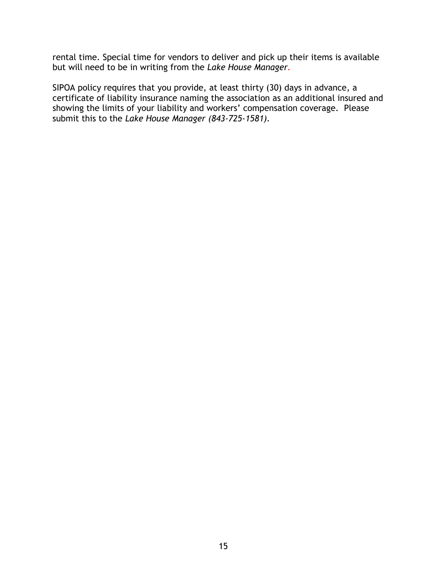rental time. Special time for vendors to deliver and pick up their items is available but will need to be in writing from the Lake House Manager.

SIPOA policy requires that you provide, at least thirty (30) days in advance, a certificate of liability insurance naming the association as an additional insured and showing the limits of your liability and workers' compensation coverage. Please submit this to the Lake House Manager (843-725-1581).